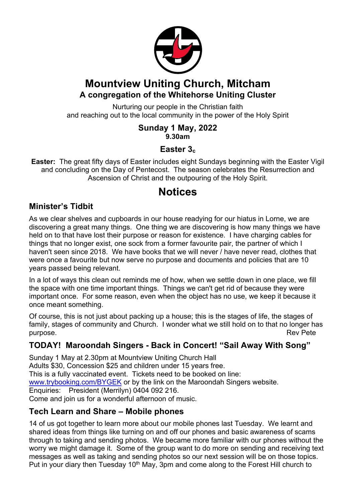

## **Mountview Uniting Church, Mitcham A congregation of the Whitehorse Uniting Cluster**

Nurturing our people in the Christian faith and reaching out to the local community in the power of the Holy Spirit

#### **Sunday 1 May, 2022 9.30am**

#### **Easter 3c**

**Easter:** The great fifty days of Easter includes eight Sundays beginning with the Easter Vigil and concluding on the Day of Pentecost. The season celebrates the Resurrection and Ascension of Christ and the outpouring of the Holy Spirit.

# **Notices**

#### **Minister's Tidbit**

As we clear shelves and cupboards in our house readying for our hiatus in Lorne, we are discovering a great many things. One thing we are discovering is how many things we have held on to that have lost their purpose or reason for existence. I have charging cables for things that no longer exist, one sock from a former favourite pair, the partner of which I haven't seen since 2018. We have books that we will never / have never read, clothes that were once a favourite but now serve no purpose and documents and policies that are 10 years passed being relevant.

In a lot of ways this clean out reminds me of how, when we settle down in one place, we fill the space with one time important things. Things we can't get rid of because they were important once. For some reason, even when the object has no use, we keep it because it once meant something.

Of course, this is not just about packing up a house; this is the stages of life, the stages of family, stages of community and Church. I wonder what we still hold on to that no longer has purpose. And the contract of the contract of the contract of the contract of the contract of the contract of the contract of the contract of the contract of the contract of the contract of the contract of the contract of t

#### **TODAY! Maroondah Singers - Back in Concert! "Sail Away With Song"**

Sunday 1 May at 2.30pm at Mountview Uniting Church Hall Adults \$30, Concession \$25 and children under 15 years free. This is a fully vaccinated event. Tickets need to be booked on line: www.trybooking.com/BYGEK or by the link on the Maroondah Singers website. Enquiries: President (Merrilyn) 0404 092 216. Come and join us for a wonderful afternoon of music.

#### **Tech Learn and Share – Mobile phones**

14 of us got together to learn more about our mobile phones last Tuesday. We learnt and shared ideas from things like turning on and off our phones and basic awareness of scams through to taking and sending photos. We became more familiar with our phones without the worry we might damage it. Some of the group want to do more on sending and receiving text messages as well as taking and sending photos so our next session will be on those topics. Put in your diary then Tuesday 10<sup>th</sup> May, 3pm and come along to the Forest Hill church to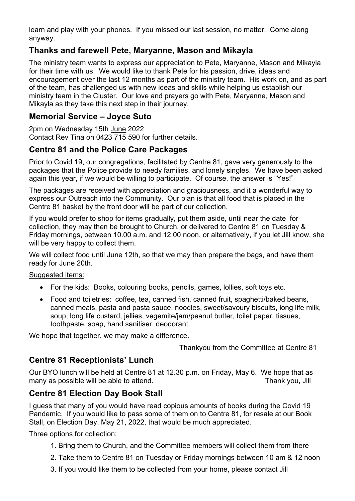learn and play with your phones. If you missed our last session, no matter. Come along anyway.

#### **Thanks and farewell Pete, Maryanne, Mason and Mikayla**

The ministry team wants to express our appreciation to Pete, Maryanne, Mason and Mikayla for their time with us. We would like to thank Pete for his passion, drive, ideas and encouragement over the last 12 months as part of the ministry team. His work on, and as part of the team, has challenged us with new ideas and skills while helping us establish our ministry team in the Cluster. Our love and prayers go with Pete, Maryanne, Mason and Mikayla as they take this next step in their journey.

#### **Memorial Service – Joyce Suto**

2pm on Wednesday 15th June 2022 Contact Rev Tina on 0423 715 590 for further details.

#### **Centre 81 and the Police Care Packages**

Prior to Covid 19, our congregations, facilitated by Centre 81, gave very generously to the packages that the Police provide to needy families, and lonely singles. We have been asked again this year, if we would be willing to participate. Of course, the answer is "Yes!"

The packages are received with appreciation and graciousness, and it a wonderful way to express our Outreach into the Community. Our plan is that all food that is placed in the Centre 81 basket by the front door will be part of our collection.

If you would prefer to shop for items gradually, put them aside, until near the date for collection, they may then be brought to Church, or delivered to Centre 81 on Tuesday & Friday mornings, between 10.00 a.m. and 12.00 noon, or alternatively, if you let Jill know, she will be very happy to collect them.

We will collect food until June 12th, so that we may then prepare the bags, and have them ready for June 20th.

Suggested items:

- For the kids: Books, colouring books, pencils, games, lollies, soft toys etc.
- Food and toiletries: coffee, tea, canned fish, canned fruit, spaghetti/baked beans, canned meals, pasta and pasta sauce, noodles, sweet/savoury biscuits, long life milk, soup, long life custard, jellies, vegemite/jam/peanut butter, toilet paper, tissues, toothpaste, soap, hand sanitiser, deodorant.

We hope that together, we may make a difference.

Thankyou from the Committee at Centre 81

#### **Centre 81 Receptionists' Lunch**

Our BYO lunch will be held at Centre 81 at 12.30 p.m. on Friday, May 6. We hope that as many as possible will be able to attend. Thank you, Jill many as possible will be able to attend.

#### **Centre 81 Election Day Book Stall**

I guess that many of you would have read copious amounts of books during the Covid 19 Pandemic. If you would like to pass some of them on to Centre 81, for resale at our Book Stall, on Election Day, May 21, 2022, that would be much appreciated.

Three options for collection:

- 1. Bring them to Church, and the Committee members will collect them from there
- 2. Take them to Centre 81 on Tuesday or Friday mornings between 10 am & 12 noon
- 3. If you would like them to be collected from your home, please contact Jill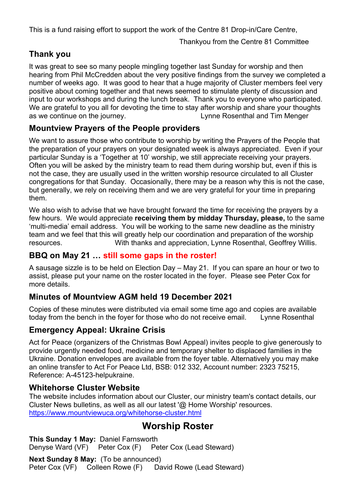This is a fund raising effort to support the work of the Centre 81 Drop-in/Care Centre,

Thankyou from the Centre 81 Committee

## **Thank you**

It was great to see so many people mingling together last Sunday for worship and then hearing from Phil McCredden about the very positive findings from the survey we completed a number of weeks ago. It was good to hear that a huge majority of Cluster members feel very positive about coming together and that news seemed to stimulate plenty of discussion and input to our workshops and during the lunch break. Thank you to everyone who participated. We are grateful to you all for devoting the time to stay after worship and share your thoughts as we continue on the journey. Lynne Rosenthal and Tim Menger

#### **Mountview Prayers of the People providers**

We want to assure those who contribute to worship by writing the Prayers of the People that the preparation of your prayers on your designated week is always appreciated. Even if your particular Sunday is a 'Together at 10' worship, we still appreciate receiving your prayers. Often you will be asked by the ministry team to read them during worship but, even if this is not the case, they are usually used in the written worship resource circulated to all Cluster congregations for that Sunday. Occasionally, there may be a reason why this is not the case, but generally, we rely on receiving them and we are very grateful for your time in preparing them.

We also wish to advise that we have brought forward the time for receiving the prayers by a few hours. We would appreciate **receiving them by midday Thursday, please,** to the same 'multi-media' email address. You will be working to the same new deadline as the ministry team and we feel that this will greatly help our coordination and preparation of the worship resources. With thanks and appreciation, Lynne Rosenthal, Geoffrey Willis.

#### **BBQ on May 21 … still some gaps in the roster!**

A sausage sizzle is to be held on Election Day – May 21. If you can spare an hour or two to assist, please put your name on the roster located in the foyer. Please see Peter Cox for more details.

#### **Minutes of Mountview AGM held 19 December 2021**

Copies of these minutes were distributed via email some time ago and copies are available today from the bench in the foyer for those who do not receive email. Lynne Rosenthal

#### **Emergency Appeal: Ukraine Crisis**

Act for Peace (organizers of the Christmas Bowl Appeal) invites people to give generously to provide urgently needed food, medicine and temporary shelter to displaced families in the Ukraine. Donation envelopes are available from the foyer table. Alternatively you may make an online transfer to Act For Peace Ltd, BSB: 012 332, Account number: 2323 75215, Reference: A-45123-helpukraine.

#### **Whitehorse Cluster Website**

The website includes information about our Cluster, our ministry team's contact details, our Cluster News bulletins, as well as all our latest '@ Home Worship' resources. https://www.mountviewuca.org/whitehorse-cluster.html

## **Worship Roster**

**This Sunday 1 May:** Daniel Farnsworth Denyse Ward (VF) Peter Cox (F) Peter Cox (Lead Steward)

**Next Sunday 8 May:** (To be announced) Peter Cox (VF) Colleen Rowe (F) David Rowe (Lead Steward)